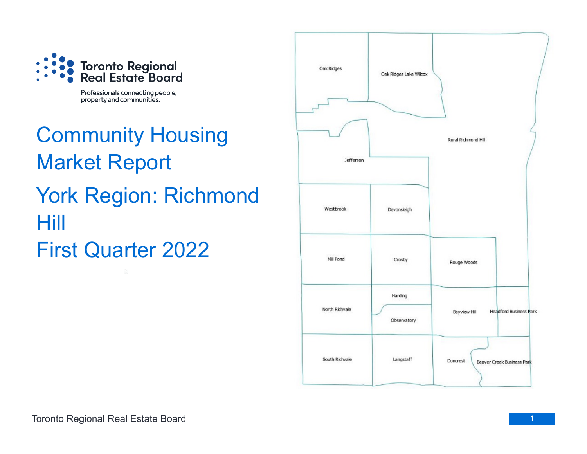

Professionals connecting people, property and communities.

Community Housing Market Report York Region: Richmond Hill First Quarter 2022

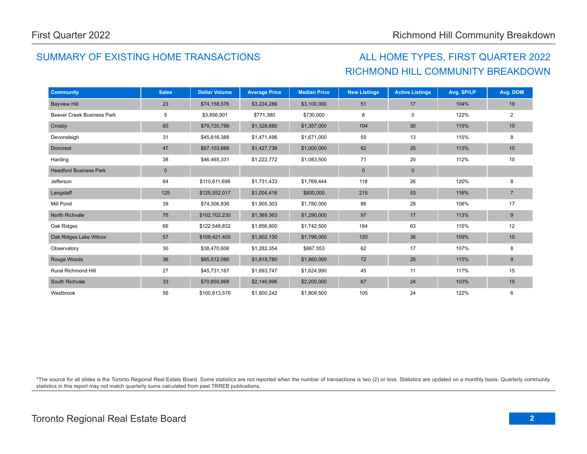# SUMMARY OF EXISTING HOME TRANSACTIONS ALL HOME TYPES, FIRST QUARTER 2022

# RICHMOND HILL COMMUNITY BREAKDOWN

| <b>Community</b>                  | <b>Sales</b> | <b>Dollar Volume</b> | <b>Average Price</b> | <b>Median Price</b> | <b>New Listings</b> | <b>Active Listings</b> | Avg. SP/LP | Avg. DOM         |
|-----------------------------------|--------------|----------------------|----------------------|---------------------|---------------------|------------------------|------------|------------------|
| <b>Bayview Hill</b>               | 23           | \$74,158,576         | \$3,224,286          | \$3,100,000         | 51                  | 17                     | 104%       | 19               |
| <b>Beaver Creek Business Park</b> | 5            | \$3,856,901          | \$771,380            | \$730,000           | 8                   | $\mathbf 0$            | 122%       | $\overline{2}$   |
| Crosby                            | 60           | \$79,720,799         | \$1,328,680          | \$1,357,000         | 104                 | 30                     | 115%       | 10               |
| Devonsleigh                       | 31           | \$45,616,388         | \$1,471,496          | \$1,671,000         | 55                  | 13                     | 115%       | 8                |
| <b>Doncrest</b>                   | 47           | \$67,103,666         | \$1,427,738          | \$1,000,000         | 82                  | 25                     | 113%       | 10               |
| Harding                           | 38           | \$46,465,331         | \$1,222,772          | \$1,083,500         | 71                  | 20                     | 112%       | 10               |
| <b>Headford Business Park</b>     | $\mathbf 0$  |                      |                      | $\sim$              | $\mathbf 0$         | $\mathbf 0$            | $\sim$     |                  |
| Jefferson                         | 64           | \$110,811,698        | \$1,731,433          | \$1,769,444         | 118                 | 26                     | 120%       | 8                |
| Langstaff                         | 125          | \$125,552,017        | \$1,004,416          | \$800,000           | 215                 | 53                     | 116%       | $\overline{7}$   |
| Mill Pond                         | 39           | \$74,306,836         | \$1,905,303          | \$1,780,000         | 86                  | 28                     | 106%       | 17               |
| North Richvale                    | 75           | \$102,702,230        | \$1,369,363          | \$1,290,000         | 97                  | 17                     | 113%       | $\boldsymbol{9}$ |
| Oak Ridges                        | 66           | \$122,548,832        | \$1,856,800          | \$1,742,500         | 184                 | 63                     | 115%       | 12               |
| Oak Ridges Lake Wilcox            | 57           | \$108,421,400        | \$1,902,130          | \$1,798,000         | 120                 | 36                     | 109%       | 10               |
| Observatory                       | 30           | \$38,470,606         | \$1,282,354          | \$867,553           | 62                  | 17                     | 107%       | 8                |
| Rouge Woods                       | 36           | \$65,512,086         | \$1,819,780          | \$1,860,000         | 72                  | 25                     | 115%       | $\boldsymbol{9}$ |
| <b>Rural Richmond Hill</b>        | 27           | \$45,731,167         | \$1,693,747          | \$1,624,990         | 45                  | 11                     | 117%       | 15               |
| South Richvale                    | 33           | \$70,850,868         | \$2,146,996          | \$2,200,000         | 67                  | 24                     | 103%       | 15               |
| Westbrook                         | 56           | \$100,813,576        | \$1,800,242          | \$1,809,500         | 105                 | 24                     | 122%       | 6                |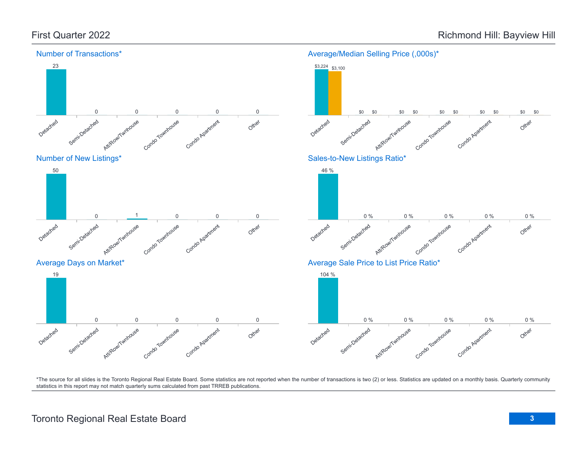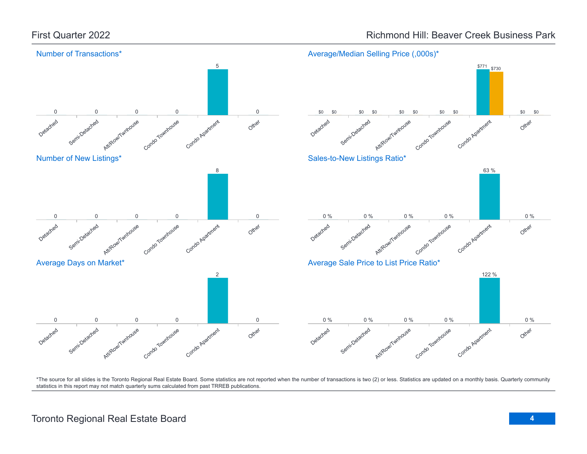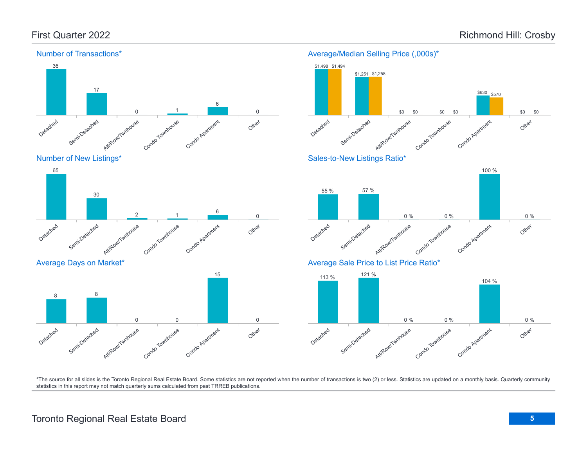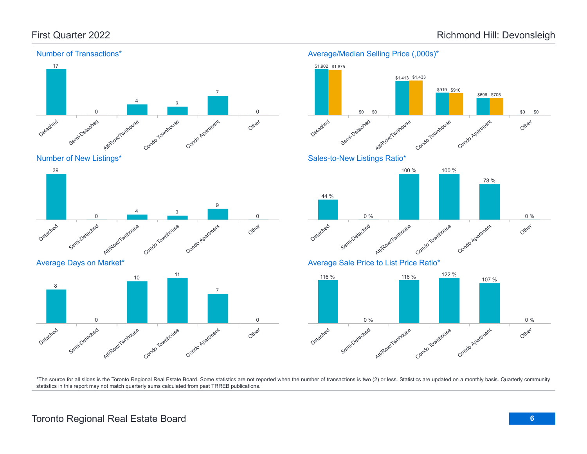

#### Detached Semi-Detached Att/Row/Twnhouse Condo Townhouse Condo Agatment Other 8 0 10 11 7 0

# \$1,902 \$1,875 \$1,413 \$1,433

Average/Median Selling Price (,000s)\*



\$919 \$910

Average Sale Price to List Price Ratio\*

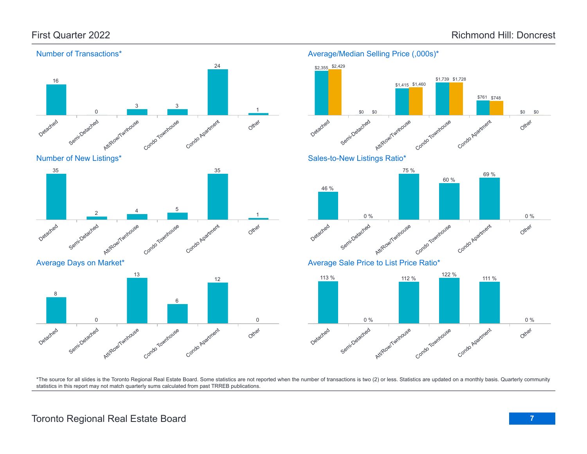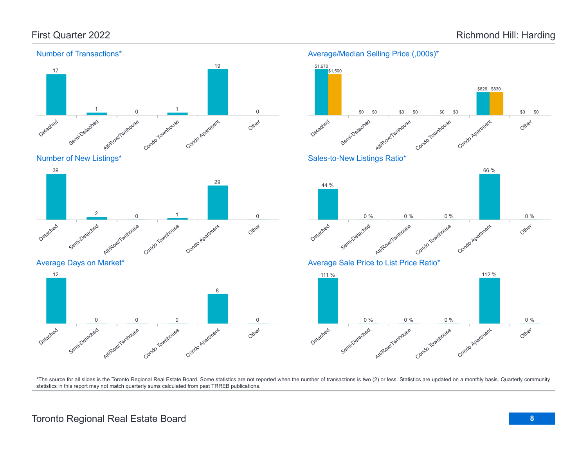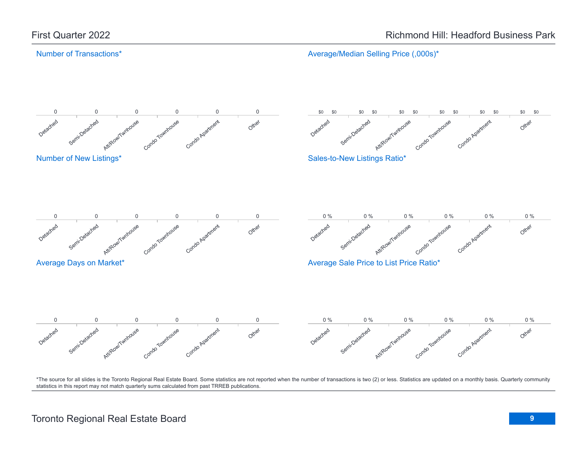#### Number of Transactions\*

Average/Median Selling Price (,000s)\*

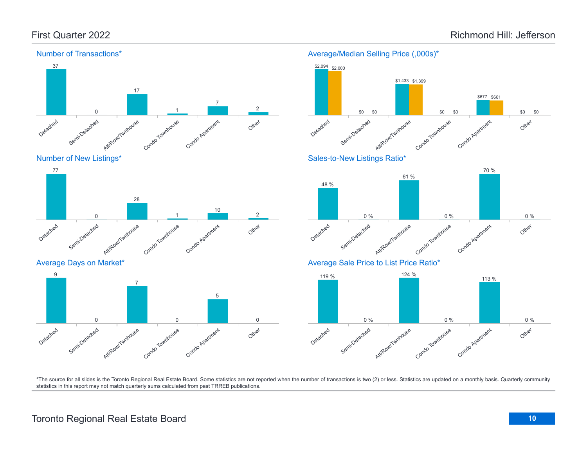



Average Days on Market\*





Average/Median Selling Price (,000s)\*

\$2,094 \$2,000

\*The source for all slides is the Toronto Regional Real Estate Board. Some statistics are not reported when the number of transactions is two (2) or less. Statistics are updated on a monthly basis. Quarterly community statistics in this report may not match quarterly sums calculated from past TRREB publications.

# Toronto Regional Real Estate Board **10**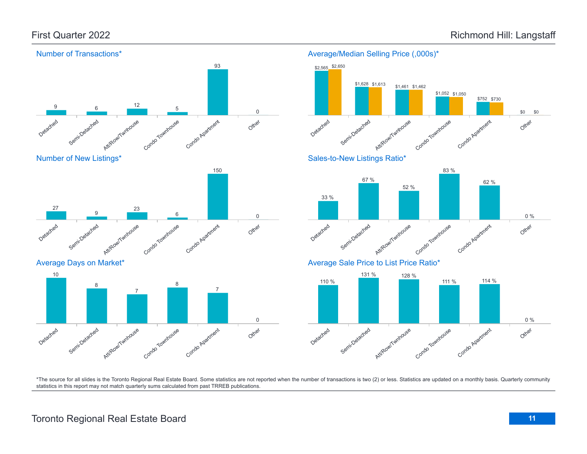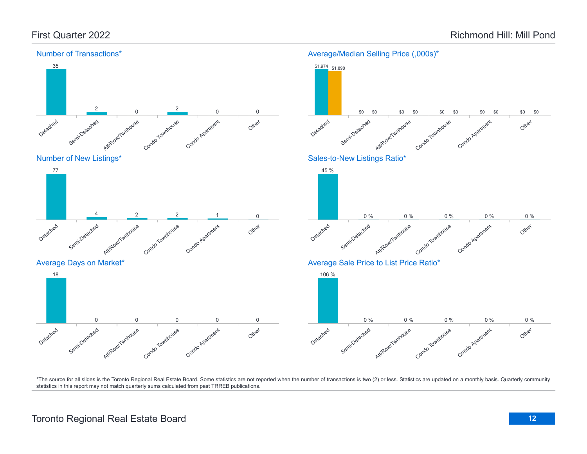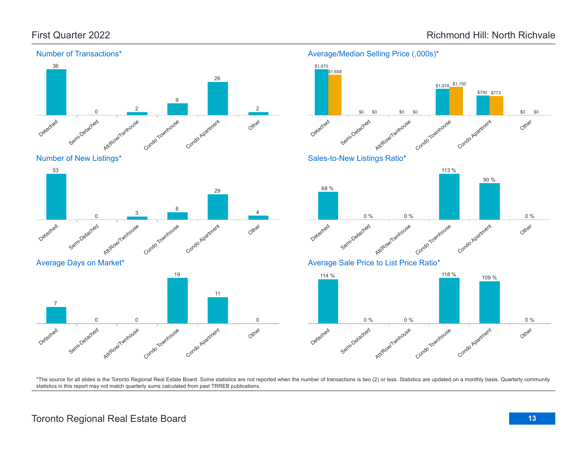\$790 \$773

90 %

Other

Other

Other

0 %

0 %

\$0

\$0

Condo Apartment

Condo Agatment

<sup>118</sup> % <sup>109</sup> %

Condo Agatment

\$1,074 \$1,150

113 %



#### Number of Transactions\*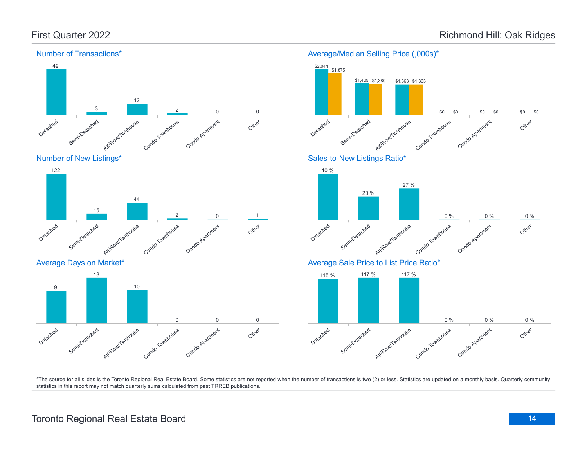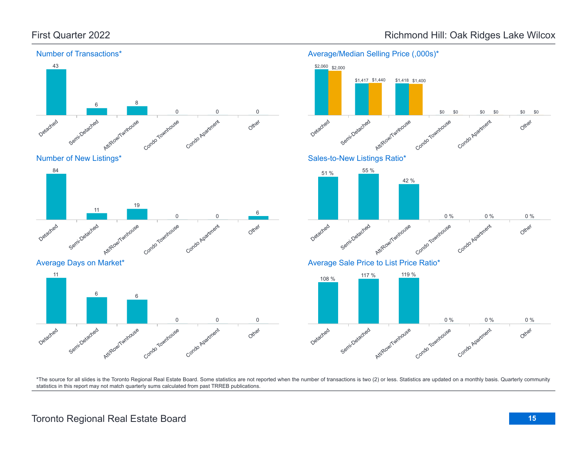

### First Quarter 2022 **Accord 2022 Richmond Hill: Oak Ridges Lake Wilcox**

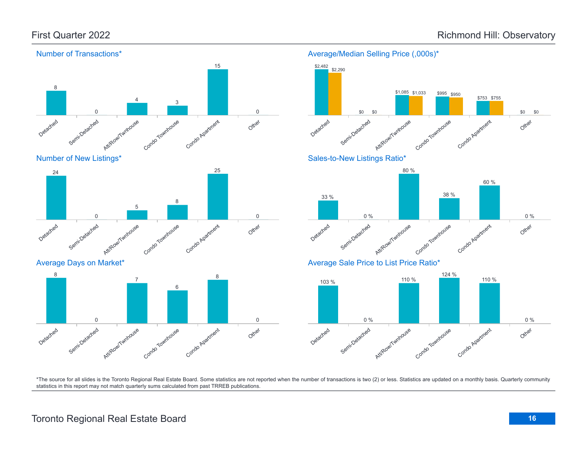

## Toronto Regional Real Estate Board **16**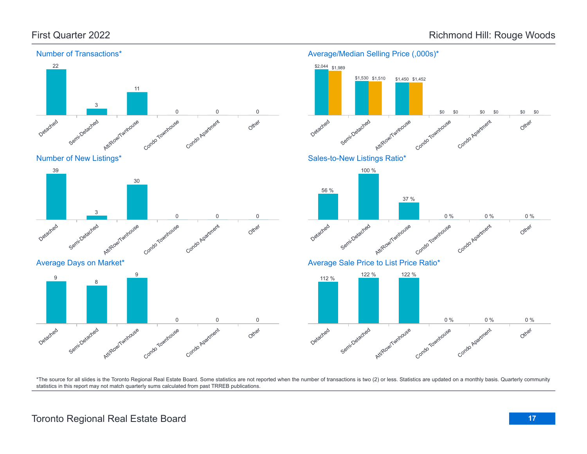

#### Number of Transactions\*









Average/Median Selling Price (,000s)\*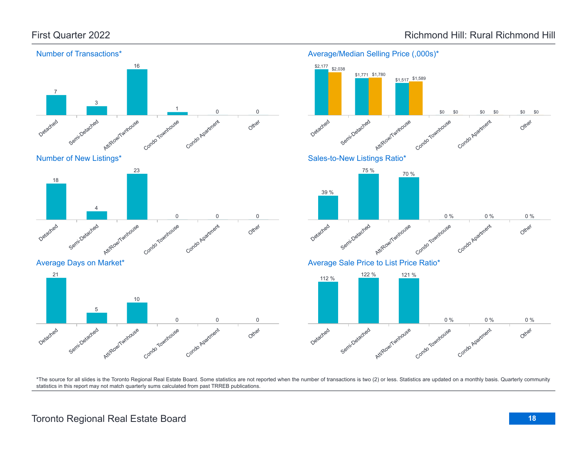

Average/Median Selling Price (,000s)\*

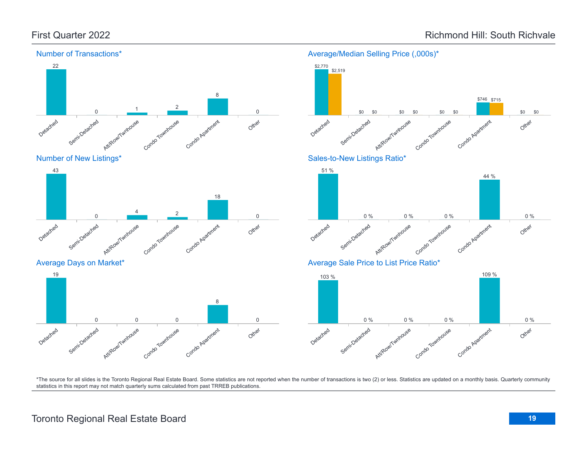